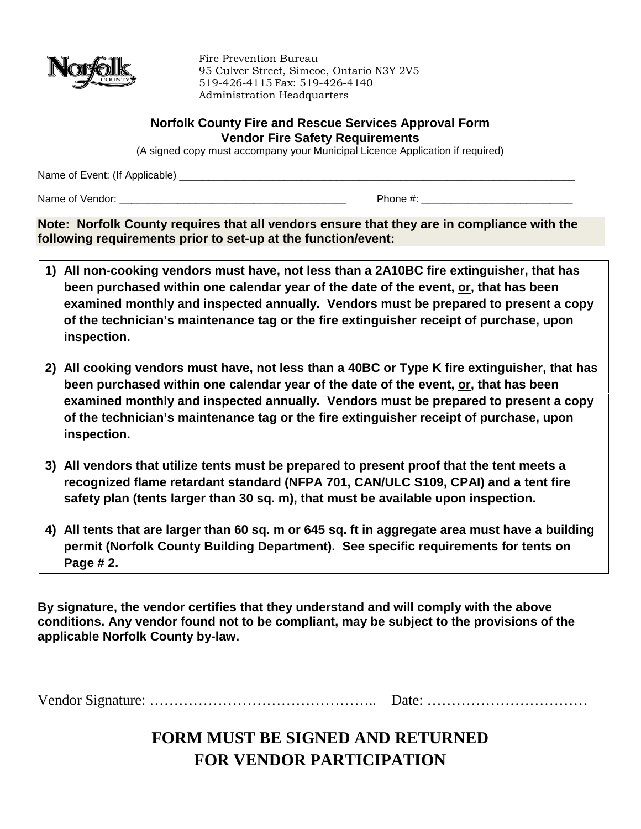

Fire Prevention Bureau 95 Culver Street, Simcoe, Ontario N3Y 2V5 519-426-4115 Fax: 519-426-4140 Administration Headquarters

#### **Norfolk County Fire and Rescue Services Approval Form Vendor Fire Safety Requirements**

(A signed copy must accompany your Municipal Licence Application if required)

Name of Event: (If Applicable) \_\_\_\_\_\_\_\_\_\_\_\_\_\_\_\_\_\_\_\_\_\_\_\_\_\_\_\_\_\_\_\_\_\_\_\_\_\_\_\_\_\_\_\_\_\_\_\_\_\_\_\_\_\_\_\_\_\_\_\_\_\_\_\_\_\_\_\_

Name of Vendor:  $\blacksquare$ 

**Note: Norfolk County requires that all vendors ensure that they are in compliance with the following requirements prior to set-up at the function/event:**

- **1) All non-cooking vendors must have, not less than a 2A10BC fire extinguisher, that has been purchased within one calendar year of the date of the event, or, that has been examined monthly and inspected annually. Vendors must be prepared to present a copy of the technician's maintenance tag or the fire extinguisher receipt of purchase, upon inspection.**
- **2) All cooking vendors must have, not less than a 40BC or Type K fire extinguisher, that has been purchased within one calendar year of the date of the event, or, that has been examined monthly and inspected annually. Vendors must be prepared to present a copy of the technician's maintenance tag or the fire extinguisher receipt of purchase, upon inspection.**
- **3) All vendors that utilize tents must be prepared to present proof that the tent meets a recognized flame retardant standard (NFPA 701, CAN/ULC S109, CPAI) and a tent fire safety plan (tents larger than 30 sq. m), that must be available upon inspection.**
- **4) All tents that are larger than 60 sq. m or 645 sq. ft in aggregate area must have a building permit (Norfolk County Building Department). See specific requirements for tents on Page # 2.**

**By signature, the vendor certifies that they understand and will comply with the above conditions. Any vendor found not to be compliant, may be subject to the provisions of the applicable Norfolk County by-law.**

Vendor Signature: ……………………………………….. Date: ……………………………

### **FORM MUST BE SIGNED AND RETURNED FOR VENDOR PARTICIPATION**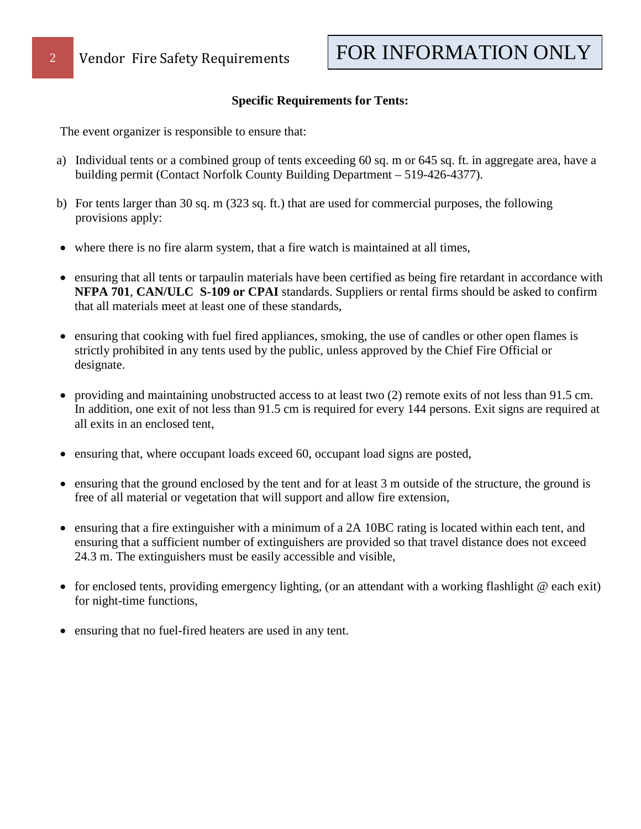#### **Specific Requirements for Tents:**

The event organizer is responsible to ensure that:

- a) Individual tents or a combined group of tents exceeding 60 sq. m or 645 sq. ft. in aggregate area, have a building permit (Contact Norfolk County Building Department – 519-426-4377).
- b) For tents larger than 30 sq. m (323 sq. ft.) that are used for commercial purposes, the following provisions apply:
- where there is no fire alarm system, that a fire watch is maintained at all times,
- ensuring that all tents or tarpaulin materials have been certified as being fire retardant in accordance with **NFPA 701**, **CAN/ULC S-109 or CPAI** standards. Suppliers or rental firms should be asked to confirm that all materials meet at least one of these standards,
- ensuring that cooking with fuel fired appliances, smoking, the use of candles or other open flames is strictly prohibited in any tents used by the public, unless approved by the Chief Fire Official or designate.
- providing and maintaining unobstructed access to at least two (2) remote exits of not less than 91.5 cm. In addition, one exit of not less than 91.5 cm is required for every 144 persons. Exit signs are required at all exits in an enclosed tent,
- ensuring that, where occupant loads exceed 60, occupant load signs are posted,
- ensuring that the ground enclosed by the tent and for at least 3 m outside of the structure, the ground is free of all material or vegetation that will support and allow fire extension,
- ensuring that a fire extinguisher with a minimum of a 2A 10BC rating is located within each tent, and ensuring that a sufficient number of extinguishers are provided so that travel distance does not exceed 24.3 m. The extinguishers must be easily accessible and visible,
- for enclosed tents, providing emergency lighting, (or an attendant with a working flashlight @ each exit) for night-time functions,
- ensuring that no fuel-fired heaters are used in any tent.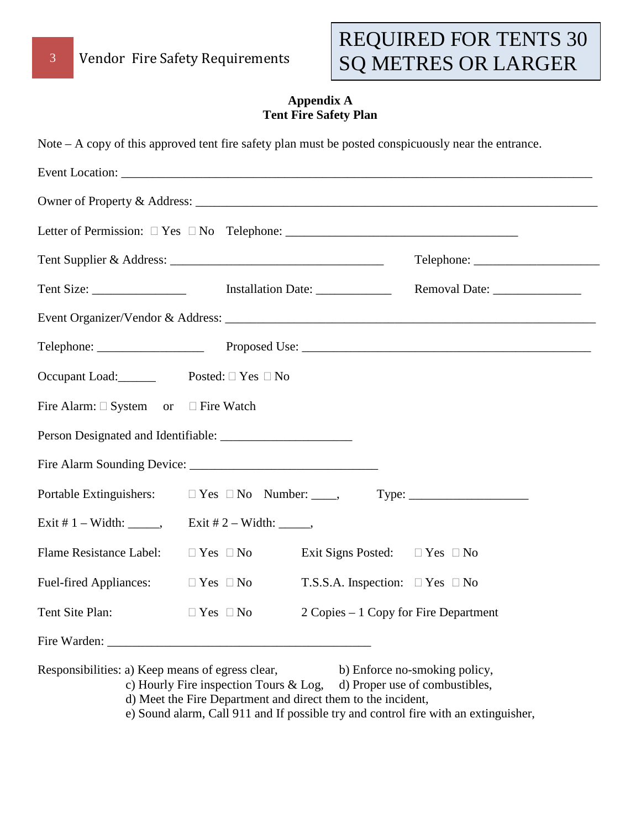# REQUIRED FOR TENTS 30 SQ METRES OR LARGER

#### **Appendix A Tent Fire Safety Plan**

| Occupant Load: Posted: □ Yes □ No                |                                                                                                           |  |
|--------------------------------------------------|-----------------------------------------------------------------------------------------------------------|--|
| Fire Alarm: $\Box$ System or $\Box$ Fire Watch   |                                                                                                           |  |
|                                                  |                                                                                                           |  |
|                                                  |                                                                                                           |  |
| Portable Extinguishers:                          |                                                                                                           |  |
|                                                  | Exit # 2 – Width: ______,                                                                                 |  |
| Flame Resistance Label:                          | $\Box$ Yes $\Box$ No<br>Exit Signs Posted: $\square$ Yes $\square$ No                                     |  |
| <b>Fuel-fired Appliances:</b>                    | $\Box$ Yes $\Box$ No<br>T.S.S.A. Inspection: $\Box$ Yes $\Box$ No                                         |  |
| Tent Site Plan:                                  | 2 Copies – 1 Copy for Fire Department<br>$\Box$ Yes $\ \Box$ No                                           |  |
|                                                  |                                                                                                           |  |
| Responsibilities: a) Keep means of egress clear, | b) Enforce no-smoking policy,<br>c) Hourly Fire inspection Tours & Log,<br>d) Proper use of combustibles, |  |

d) Meet the Fire Department and direct them to the incident,

e) Sound alarm, Call 911 and If possible try and control fire with an extinguisher,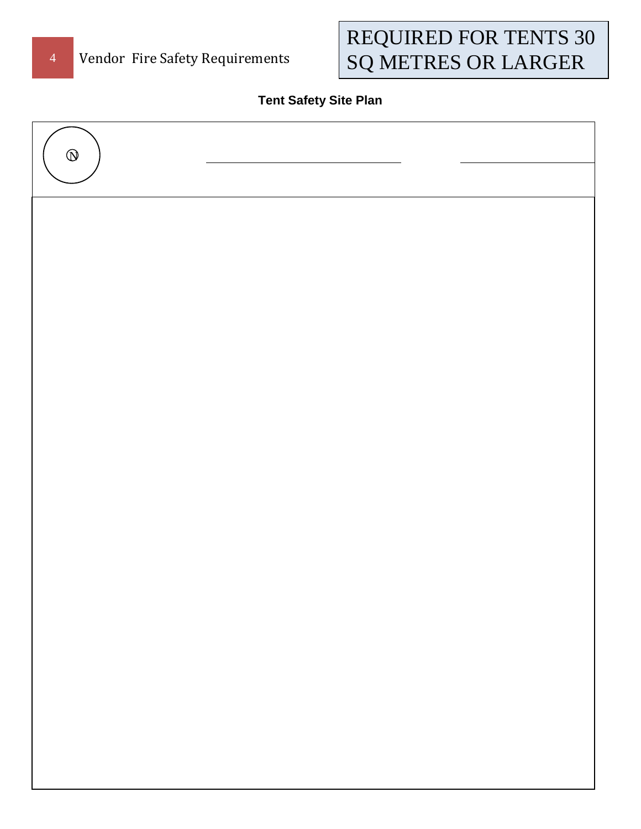# REQUIRED FOR TENTS 30 SQ METRES OR LARGER

### **Tent Safety Site Plan**

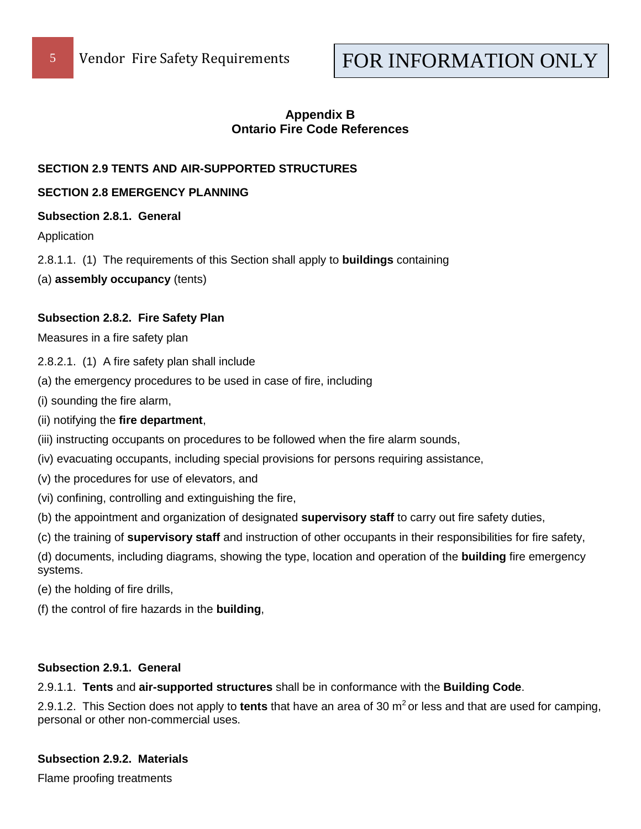## FOR INFORMATION ONLY

#### **Appendix B Ontario Fire Code References**

#### **SECTION 2.9 TENTS AND AIR-SUPPORTED STRUCTURES**

#### **SECTION 2.8 EMERGENCY PLANNING**

#### **Subsection 2.8.1. General**

Application

- 2.8.1.1. (1) The requirements of this Section shall apply to **buildings** containing
- (a) **assembly occupancy** (tents)

#### **Subsection 2.8.2. Fire Safety Plan**

Measures in a fire safety plan

2.8.2.1. (1) A fire safety plan shall include

(a) the emergency procedures to be used in case of fire, including

(i) sounding the fire alarm,

- (ii) notifying the **fire department**,
- (iii) instructing occupants on procedures to be followed when the fire alarm sounds,
- (iv) evacuating occupants, including special provisions for persons requiring assistance,
- (v) the procedures for use of elevators, and
- (vi) confining, controlling and extinguishing the fire,
- (b) the appointment and organization of designated **supervisory staff** to carry out fire safety duties,

(c) the training of **supervisory staff** and instruction of other occupants in their responsibilities for fire safety,

(d) documents, including diagrams, showing the type, location and operation of the **building** fire emergency systems.

(e) the holding of fire drills,

(f) the control of fire hazards in the **building**,

#### **Subsection 2.9.1. General**

2.9.1.1. **Tents** and **air-supported structures** shall be in conformance with the **Building Code**.

2.9.1.2. This Section does not apply to **tents** that have an area of 30 m<sup>2</sup> or less and that are used for camping, personal or other non-commercial uses.

#### **Subsection 2.9.2. Materials**

Flame proofing treatments